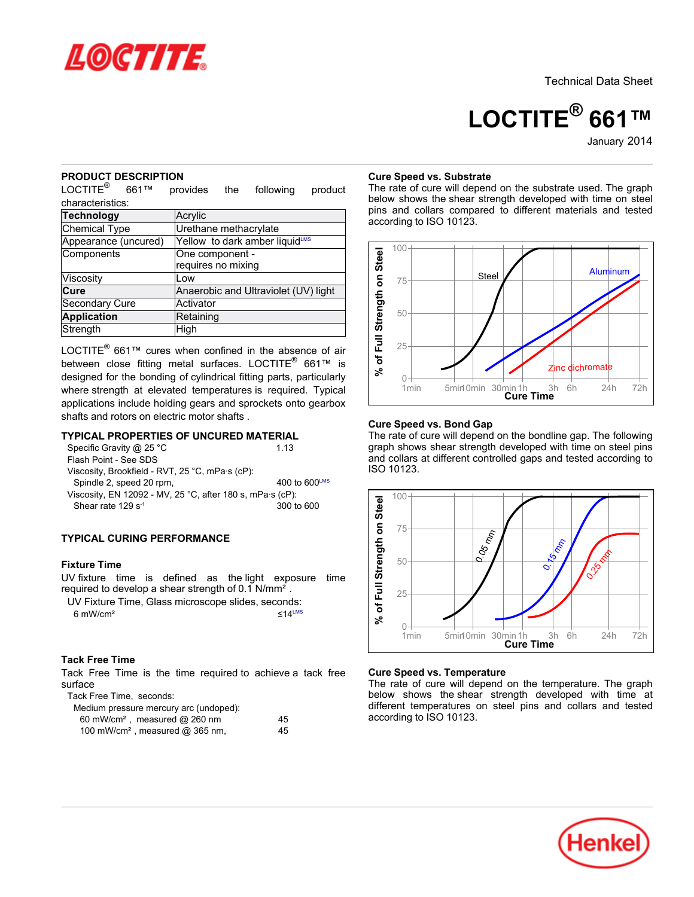

Technical Data Sheet

# **LOCTITE® 661™**

January-2014

#### **PRODUCT DESCRIPTION**

LOCTITE<sup>®</sup> 661™ provides the following product characteristics:

| <b>Technology</b>    | Acrylic                              |
|----------------------|--------------------------------------|
| Chemical Type        | Urethane methacrylate                |
| Appearance (uncured) | Yellow to dark amber liquidLMS       |
| Components           | One component -                      |
|                      | requires no mixing                   |
| Viscosity            | Low                                  |
| Cure                 | Anaerobic and Ultraviolet (UV) light |
| Secondary Cure       | Activator                            |
| <b>Application</b>   | Retaining                            |
| Strength             | High                                 |

LOCTITE® 661™ cures when confined in the absence of air between close fitting metal surfaces. LOCTITE® 661™ is designed for the bonding of cylindrical fitting parts, particularly where strength at elevated temperatures is required. Typical applications include holding gears and sprockets onto gearbox shafts and rotors on electric motor shafts .

# **TYPICAL PROPERTIES OF UNCURED MATERIAL**

| Specific Gravity @ 25 °C                                  | 113                       |
|-----------------------------------------------------------|---------------------------|
| Flash Point - See SDS                                     |                           |
| Viscosity, Brookfield - RVT, 25 °C, mPa·s (cP):           |                           |
| Spindle 2, speed 20 rpm,                                  | 400 to $600^{\text{LMS}}$ |
| Viscosity, EN 12092 - MV, 25 °C, after 180 s, mPa·s (cP): |                           |
| Shear rate $129 s^{-1}$                                   | 300 to 600                |
|                                                           |                           |

# **TYPICAL CURING PERFORMANCE**

#### **Fixture Time**

UV fixture time is defined as the light exposure time required to develop a shear strength of 0.1 N/mm².

|                     | UV Fixture Time, Glass microscope slides, seconds: |                 |
|---------------------|----------------------------------------------------|-----------------|
| $6 \text{ mW/cm}^2$ |                                                    | $<$ 14 $\mu$ MS |

#### **Tack Free Time**

Tack Free Time is the time required to achieve a tack free surface

Tack Free Time, seconds:

| Medium pressure mercury arc (undoped):        |    |
|-----------------------------------------------|----|
| 60 mW/cm <sup>2</sup> , measured @ 260 nm     | 45 |
| 100 mW/cm <sup>2</sup> , measured $@$ 365 nm, | 45 |

#### **Cure Speed vs. Substrate**

The rate of cure will depend on the substrate used. The graph below shows the shear strength developed with time on steel pins and collars compared to different materials and tested according to ISO 10123.



#### **Cure Speed vs. Bond Gap**

The rate of cure will depend on the bondline gap. The following graph shows shear strength developed with time on steel pins and collars at different controlled gaps and tested according to ISO 10123.



### **Cure Speed vs. Temperature**

The rate of cure will depend on the temperature. The graph below shows the shear strength developed with time at different temperatures on steel pins and collars and tested according to ISO 10123.

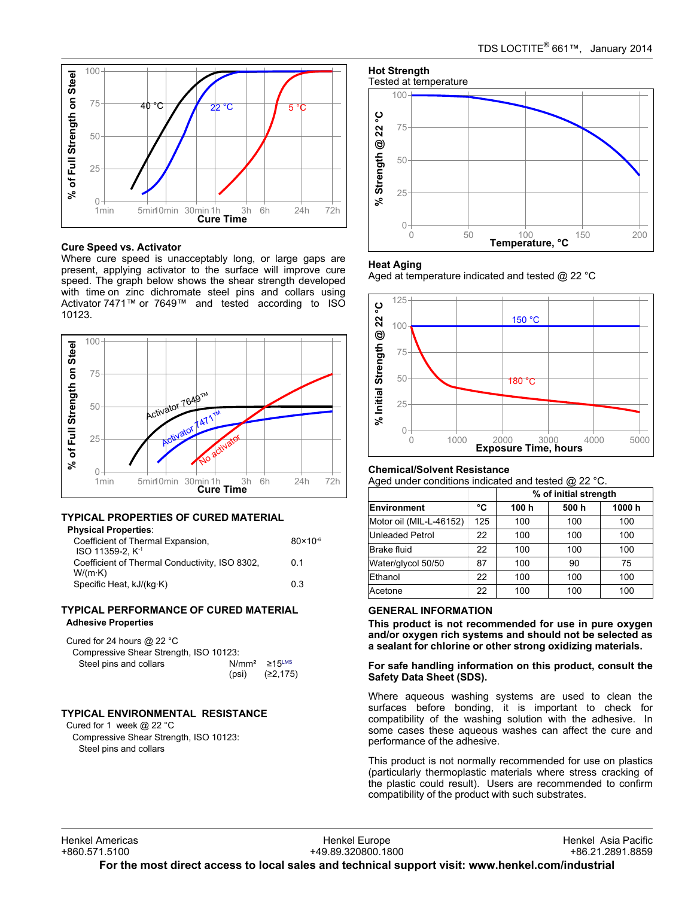

#### **Cure Speed vs. Activator**

Where cure speed is unacceptably long, or large gaps are present, applying activator to the surface will improve cure speed. The graph below shows the shear strength developed with time on zinc dichromate steel pins and collars using Activator 7471™ or 7649™ and tested according to ISO 10123.



#### **TYPICAL PROPERTIES OF CURED MATERIAL Physical Properties**:

| riiyəldal Film bilibə.<br>Coefficient of Thermal Expansion,<br>$ISO$ 11359-2. $K-1$ | $80 \times 10^{-6}$ |
|-------------------------------------------------------------------------------------|---------------------|
| Coefficient of Thermal Conductivity, ISO 8302,<br>$W/(m \cdot K)$                   | 0 1                 |
| Specific Heat, kJ/(kg·K)                                                            | 03                  |

#### **TYPICAL PERFORMANCE OF CURED MATERIAL Adhesive Properties**

| Cured for 24 hours $@$ 22 °C           |                                |                   |
|----------------------------------------|--------------------------------|-------------------|
| Compressive Shear Strength, ISO 10123: |                                |                   |
| Steel pins and collars                 | $N/mm^2 \ge 15$ <sup>LMS</sup> |                   |
|                                        |                                | (psi) $(22, 175)$ |

# **TYPICAL ENVIRONMENTAL RESISTANCE**

Cured for 1 week @ 22 °C Compressive Shear Strength, ISO 10123: Steel pins and collars



#### **Heat Aging**

Aged at temperature indicated and tested @ 22 °C



#### **Chemical/Solvent Resistance**

Aged under conditions indicated and tested @ 22 °C.

|                         |     | % of initial strength |      |       |
|-------------------------|-----|-----------------------|------|-------|
| Environment             | °C  | 100 h                 | 500h | 1000h |
| Motor oil (MIL-L-46152) | 125 | 100                   | 100  | 100   |
| <b>Unleaded Petrol</b>  | 22  | 100                   | 100  | 100   |
| <b>Brake fluid</b>      | 22  | 100                   | 100  | 100   |
| Water/glycol 50/50      | 87  | 100                   | 90   | 75    |
| Ethanol                 | 22  | 100                   | 100  | 100   |
| Acetone                 | 22  | 100                   | 100  | 100   |

### **GENERAL INFORMATION**

**This product is not recommended for use in pure oxygen and/or oxygen rich systems and should not be selected as a sealant for chlorine or other strong oxidizing materials.**

**For safe handling information on this product, consult the Safety Data Sheet (SDS).**

Where aqueous washing systems are used to clean the surfaces before bonding, it is important to check for compatibility of the washing solution with the adhesive. In some cases these aqueous washes can affect the cure and performance of the adhesive.

This product is not normally recommended for use on plastics (particularly thermoplastic materials where stress cracking of the plastic could result). Users are recommended to confirm compatibility of the product with such substrates.